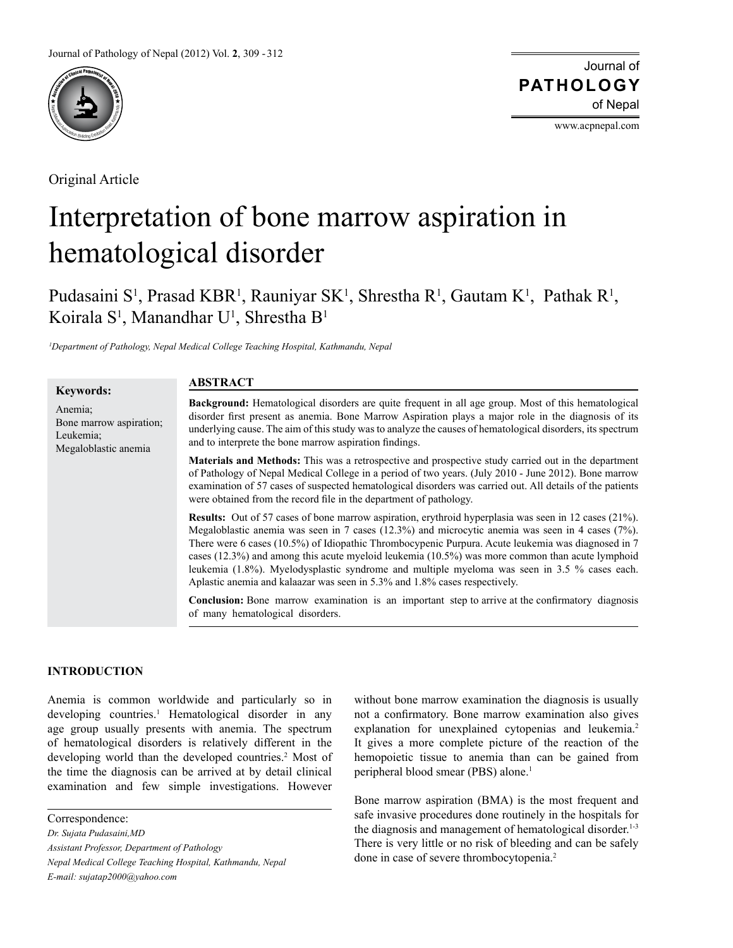

Original Article

Journal of of Nepal **PATHOLOGY**

www.acpnepal.com

# Interpretation of bone marrow aspiration in hematological disorder

Pudasaini S<sup>1</sup>, Prasad KBR<sup>1</sup>, Rauniyar SK<sup>1</sup>, Shrestha R<sup>1</sup>, Gautam K<sup>1</sup>, Pathak R<sup>1</sup>, Koirala S<sup>1</sup>, Manandhar U<sup>1</sup>, Shrestha B<sup>1</sup>

*1 Department of Pathology, Nepal Medical College Teaching Hospital, Kathmandu, Nepal*

#### **Keywords:** Anemia; Bone marrow aspiration; Leukemia; Megaloblastic anemia **Background:** Hematological disorders are quite frequent in all age group. Most of this hematological disorder first present as anemia. Bone Marrow Aspiration plays a major role in the diagnosis of its underlying cause. The aim of this study was to analyze the causes of hematological disorders, its spectrum and to interprete the bone marrow aspiration findings. **Materials and Methods:** This was a retrospective and prospective study carried out in the department of Pathology of Nepal Medical College in a period of two years. (July 2010 - June 2012). Bone marrow examination of 57 cases of suspected hematological disorders was carried out. All details of the patients were obtained from the record file in the department of pathology. **Results:** Out of 57 cases of bone marrow aspiration, erythroid hyperplasia was seen in 12 cases (21%). Megaloblastic anemia was seen in 7 cases (12.3%) and microcytic anemia was seen in 4 cases (7%). There were 6 cases (10.5%) of Idiopathic Thrombocypenic Purpura. Acute leukemia was diagnosed in 7 cases (12.3%) and among this acute myeloid leukemia (10.5%) was more common than acute lymphoid leukemia (1.8%). Myelodysplastic syndrome and multiple myeloma was seen in 3.5 % cases each. Aplastic anemia and kalaazar was seen in 5.3% and 1.8% cases respectively. **Conclusion:** Bone marrow examination is an important step to arrive at the confirmatory diagnosis of many hematological disorders. **ABSTRACT**

## **INTRODUCTION**

Anemia is common worldwide and particularly so in developing countries.<sup>1</sup> Hematological disorder in any age group usually presents with anemia. The spectrum of hematological disorders is relatively different in the developing world than the developed countries.<sup>2</sup> Most of the time the diagnosis can be arrived at by detail clinical examination and few simple investigations. However

Correspondence:

*Dr. Sujata Pudasaini,MD*

*Assistant Professor, Department of Pathology Nepal Medical College Teaching Hospital, Kathmandu, Nepal E-mail: sujatap2000@yahoo.com*

without bone marrow examination the diagnosis is usually not a confirmatory. Bone marrow examination also gives explanation for unexplained cytopenias and leukemia.<sup>2</sup> It gives a more complete picture of the reaction of the hemopoietic tissue to anemia than can be gained from peripheral blood smear (PBS) alone.<sup>1</sup>

Bone marrow aspiration (BMA) is the most frequent and safe invasive procedures done routinely in the hospitals for the diagnosis and management of hematological disorder.<sup>1-3</sup> There is very little or no risk of bleeding and can be safely done in case of severe thrombocytopenia.2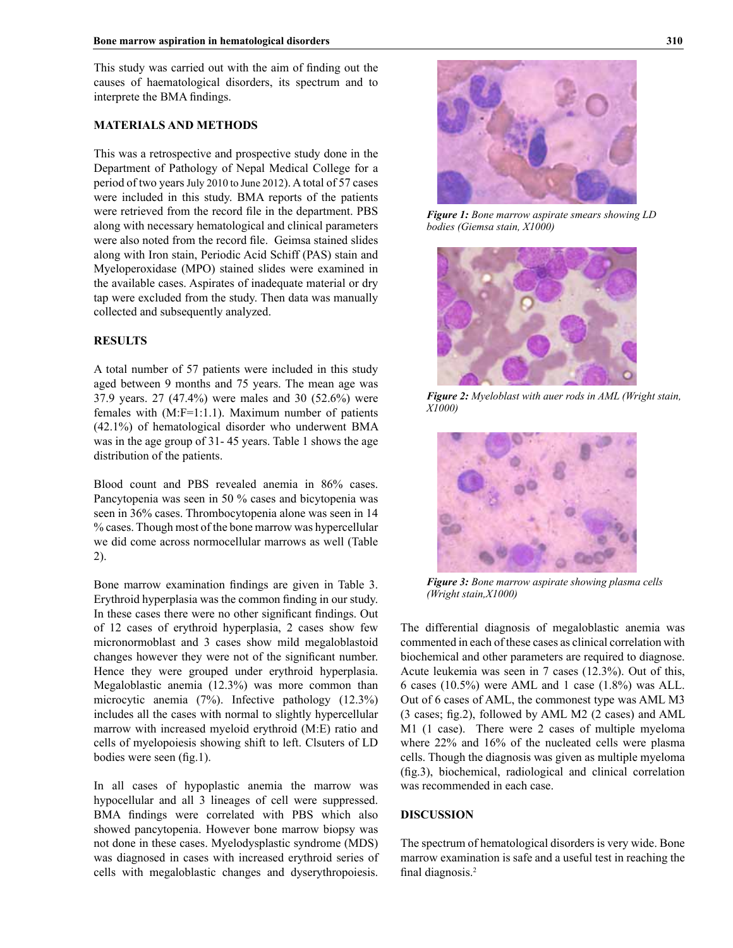This study was carried out with the aim of finding out the causes of haematological disorders, its spectrum and to interprete the BMA findings.

## **MATERIALS AND METHODS**

This was a retrospective and prospective study done in the Department of Pathology of Nepal Medical College for a period of two years July 2010 to June 2012). A total of 57 cases were included in this study. BMA reports of the patients were retrieved from the record file in the department. PBS along with necessary hematological and clinical parameters were also noted from the record file. Geimsa stained slides along with Iron stain, Periodic Acid Schiff (PAS) stain and Myeloperoxidase (MPO) stained slides were examined in the available cases. Aspirates of inadequate material or dry tap were excluded from the study. Then data was manually collected and subsequently analyzed.

#### **RESULTS**

A total number of 57 patients were included in this study aged between 9 months and 75 years. The mean age was 37.9 years. 27 (47.4%) were males and 30 (52.6%) were females with (M:F=1:1.1). Maximum number of patients (42.1%) of hematological disorder who underwent BMA was in the age group of 31- 45 years. Table 1 shows the age distribution of the patients.

Blood count and PBS revealed anemia in 86% cases. Pancytopenia was seen in 50 % cases and bicytopenia was seen in 36% cases. Thrombocytopenia alone was seen in 14 % cases. Though most of the bone marrow was hypercellular we did come across normocellular marrows as well (Table 2).

Bone marrow examination findings are given in Table 3. Erythroid hyperplasia was the common finding in our study. In these cases there were no other significant findings. Out of 12 cases of erythroid hyperplasia, 2 cases show few micronormoblast and 3 cases show mild megaloblastoid changes however they were not of the significant number. Hence they were grouped under erythroid hyperplasia. Megaloblastic anemia (12.3%) was more common than microcytic anemia (7%). Infective pathology (12.3%) includes all the cases with normal to slightly hypercellular marrow with increased myeloid erythroid (M:E) ratio and cells of myelopoiesis showing shift to left. Clsuters of LD bodies were seen (fig.1).

In all cases of hypoplastic anemia the marrow was hypocellular and all 3 lineages of cell were suppressed. BMA findings were correlated with PBS which also showed pancytopenia. However bone marrow biopsy was not done in these cases. Myelodysplastic syndrome (MDS) was diagnosed in cases with increased erythroid series of cells with megaloblastic changes and dyserythropoiesis.



*Figure 1: Bone marrow aspirate smears showing LD bodies (Giemsa stain, X1000)*



*Figure 2: Myeloblast with auer rods in AML (Wright stain, X1000)*



*Figure 3: Bone marrow aspirate showing plasma cells (Wright stain,X1000)*

The differential diagnosis of megaloblastic anemia was commented in each of these cases as clinical correlation with biochemical and other parameters are required to diagnose. Acute leukemia was seen in 7 cases (12.3%). Out of this, 6 cases (10.5%) were AML and 1 case (1.8%) was ALL. Out of 6 cases of AML, the commonest type was AML M3 (3 cases; fig.2), followed by AML M2 (2 cases) and AML M1 (1 case). There were 2 cases of multiple myeloma where 22% and 16% of the nucleated cells were plasma cells. Though the diagnosis was given as multiple myeloma (fig.3), biochemical, radiological and clinical correlation was recommended in each case.

#### **DISCUSSION**

The spectrum of hematological disorders is very wide. Bone marrow examination is safe and a useful test in reaching the final diagnosis.2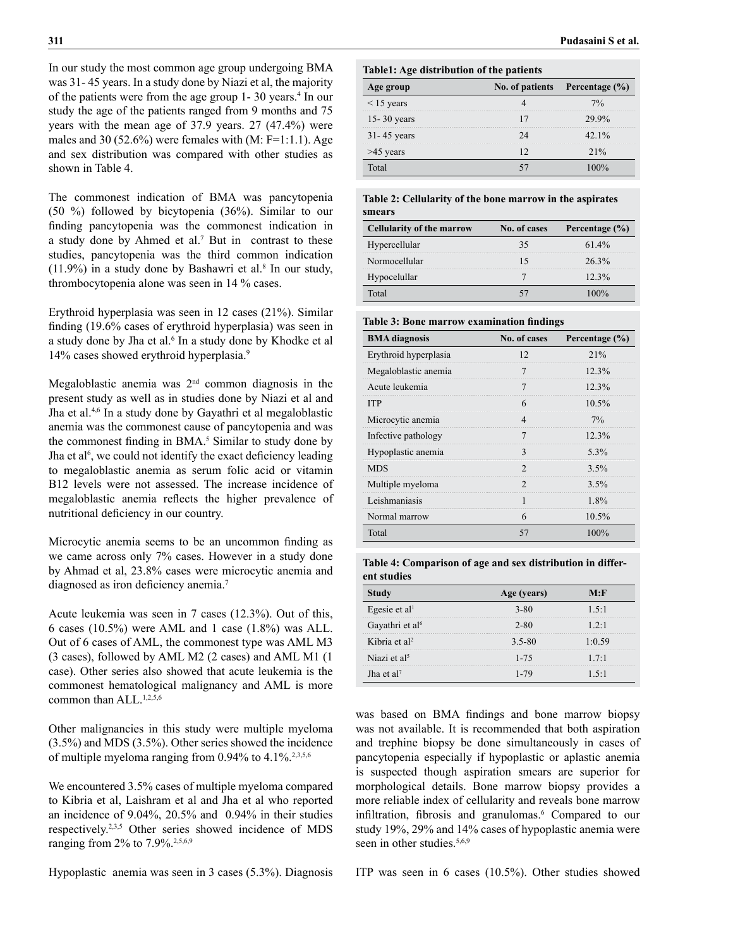In our study the most common age group undergoing BMA was 31- 45 years. In a study done by Niazi et al, the majority of the patients were from the age group 1-30 years.<sup>4</sup> In our study the age of the patients ranged from 9 months and 75 years with the mean age of 37.9 years. 27 (47.4%) were males and 30 (52.6%) were females with  $(M: F=1:1.1)$ . Age and sex distribution was compared with other studies as shown in Table 4.

The commonest indication of BMA was pancytopenia (50 %) followed by bicytopenia (36%). Similar to our finding pancytopenia was the commonest indication in a study done by Ahmed et al.<sup>7</sup> But in contrast to these studies, pancytopenia was the third common indication  $(11.9%)$  in a study done by Bashawri et al.<sup>8</sup> In our study, thrombocytopenia alone was seen in 14 % cases.

Erythroid hyperplasia was seen in 12 cases (21%). Similar finding (19.6% cases of erythroid hyperplasia) was seen in a study done by Jha et al.<sup>6</sup> In a study done by Khodke et al 14% cases showed erythroid hyperplasia.9

Megaloblastic anemia was 2nd common diagnosis in the present study as well as in studies done by Niazi et al and Jha et al.4,6 In a study done by Gayathri et al megaloblastic anemia was the commonest cause of pancytopenia and was the commonest finding in BMA.<sup>5</sup> Similar to study done by Jha et al<sup>6</sup>, we could not identify the exact deficiency leading to megaloblastic anemia as serum folic acid or vitamin B12 levels were not assessed. The increase incidence of megaloblastic anemia reflects the higher prevalence of nutritional deficiency in our country.

Microcytic anemia seems to be an uncommon finding as we came across only 7% cases. However in a study done by Ahmad et al, 23.8% cases were microcytic anemia and diagnosed as iron deficiency anemia.<sup>7</sup>

Acute leukemia was seen in 7 cases (12.3%). Out of this, 6 cases  $(10.5\%)$  were AML and 1 case  $(1.8\%)$  was ALL. Out of 6 cases of AML, the commonest type was AML M3 (3 cases), followed by AML M2 (2 cases) and AML M1 (1 case). Other series also showed that acute leukemia is the commonest hematological malignancy and AML is more common than  $ALL<sub>1,2,5,6</sub>$ 

Other malignancies in this study were multiple myeloma (3.5%) and MDS (3.5%). Other series showed the incidence of multiple myeloma ranging from  $0.94\%$  to  $4.1\%$ <sup>2,3,5,6</sup>

We encountered 3.5% cases of multiple myeloma compared to Kibria et al, Laishram et al and Jha et al who reported an incidence of 9.04%, 20.5% and 0.94% in their studies respectively.2,3,5 Other series showed incidence of MDS ranging from 2% to 7.9%.<sup>2,5,6,9</sup>

Hypoplastic anemia was seen in 3 cases (5.3%). Diagnosis

### **Table1: Age distribution of the patients**

| ge group        |    | No. of patients Percentage (%) |
|-----------------|----|--------------------------------|
| $\leq$ 15 years |    | $7\%$                          |
| $15 - 30$ years |    | 29.9%                          |
| $31 - 45$ years | 7Δ | $42.1\%$                       |
| >45 years       |    | $2.1\%$                        |
| Total           |    |                                |

#### **Table 2: Cellularity of the bone marrow in the aspirates smears**

| <b>Cellularity of the marrow</b> | No. of cases | Percentage $(\% )$ |
|----------------------------------|--------------|--------------------|
| Hypercellular                    | 35           | 614%               |
| Normocellular                    |              | 26.3%              |
| Hypocelullar                     |              | $12.3\%$           |
| Total                            |              | $00\%$             |

### **Table 3: Bone marrow examination findings**

| <b>BMA</b> diagnosis  | No. of cases | Percentage $(\% )$ |
|-----------------------|--------------|--------------------|
| Erythroid hyperplasia | 12           | 21%                |
| Megaloblastic anemia  |              | 12.3%              |
| Acute leukemia        |              | 12.3%              |
| <b>TTP</b>            | 6            | $10.5\%$           |
| Microcytic anemia     |              | $7\%$              |
| Infective pathology   |              | 12.3%              |
| Hypoplastic anemia    |              | $5.3\%$            |
| <b>MDS</b>            |              | $3.5\%$            |
| Multiple myeloma      | 7            | $3.5\%$            |
| Leishmaniasis         |              | $1.8\%$            |
| Normal marrow         | 6            | $10.5\%$           |
| Total                 | 57           | 100%               |

## **Table 4: Comparison of age and sex distribution in different studies**

| tudv                        | ge (vears) | M∙⊮           |
|-----------------------------|------------|---------------|
| Egesie et al <sup>1</sup>   | 3-80       | $1.5 \cdot 1$ |
| Gayathri et al <sup>6</sup> | 2-80       | 12:1          |
| Kibria et al <sup>2</sup>   | $35-80$    | 1.059         |
| Niazi et al <sup>5</sup>    | $1 - 75$   | 17.1          |
| Jha et al?                  | 1.79       | 15.1          |

was based on BMA findings and bone marrow biopsy was not available. It is recommended that both aspiration and trephine biopsy be done simultaneously in cases of pancytopenia especially if hypoplastic or aplastic anemia is suspected though aspiration smears are superior for morphological details. Bone marrow biopsy provides a more reliable index of cellularity and reveals bone marrow infiltration, fibrosis and granulomas.<sup>6</sup> Compared to our study 19%, 29% and 14% cases of hypoplastic anemia were seen in other studies.<sup>5,6,9</sup>

ITP was seen in 6 cases (10.5%). Other studies showed